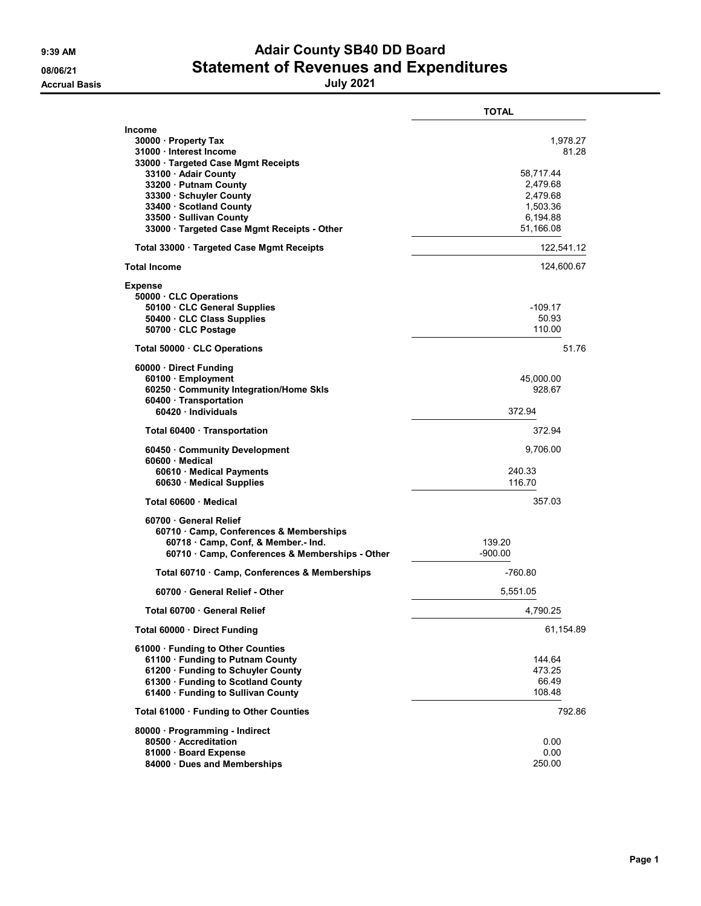## 9:39 AM **Adair County SB40 DD Board** 08/06/21 Statement of Revenues and Expenditures

|                                                                                                                                                                                                     | <b>TOTAL</b>                                                       |
|-----------------------------------------------------------------------------------------------------------------------------------------------------------------------------------------------------|--------------------------------------------------------------------|
| Income<br>30000 · Property Tax<br>31000 Interest Income<br>33000 Targeted Case Mgmt Receipts<br>33100 · Adair County<br>33200 · Putnam County<br>33300 · Schuyler County<br>33400 · Scotland County | 1,978.27<br>81.28<br>58,717.44<br>2,479.68<br>2,479.68<br>1,503.36 |
| 33500 · Sullivan County<br>33000 · Targeted Case Mgmt Receipts - Other                                                                                                                              | 6,194.88<br>51,166.08                                              |
| Total 33000 · Targeted Case Mgmt Receipts                                                                                                                                                           | 122,541.12                                                         |
| <b>Total Income</b>                                                                                                                                                                                 | 124,600.67                                                         |
| <b>Expense</b><br>50000 CLC Operations<br>50100 CLC General Supplies<br>50400 · CLC Class Supplies<br>50700 CLC Postage                                                                             | -109.17<br>50.93<br>110.00                                         |
| Total 50000 · CLC Operations                                                                                                                                                                        | 51.76                                                              |
| 60000 Direct Funding<br>60100 · Employment<br>60250 Community Integration/Home Skls<br>60400 · Transportation<br>60420 Individuals                                                                  | 45,000.00<br>928.67<br>372.94                                      |
| Total 60400 · Transportation                                                                                                                                                                        | 372.94                                                             |
| 60450 Community Development<br>60600 Medical<br>60610 Medical Payments<br>60630 Medical Supplies                                                                                                    | 9,706.00<br>240.33<br>116.70                                       |
| Total 60600 · Medical                                                                                                                                                                               | 357.03                                                             |
| 60700 General Relief<br>60710 Camp, Conferences & Memberships<br>60718 Camp, Conf, & Member.- Ind.<br>60710 · Camp, Conferences & Memberships - Other                                               | 139.20<br>$-900.00$                                                |
| Total 60710 Camp, Conferences & Memberships                                                                                                                                                         | $-760.80$                                                          |
| 60700 General Relief - Other                                                                                                                                                                        | 5,551.05                                                           |
| Total 60700 · General Relief                                                                                                                                                                        | 4,790.25                                                           |
| Total 60000 · Direct Funding                                                                                                                                                                        | 61,154.89                                                          |
| 61000 · Funding to Other Counties<br>61100 · Funding to Putnam County<br>61200 · Funding to Schuyler County<br>61300 · Funding to Scotland County<br>61400 · Funding to Sullivan County             | 144.64<br>473.25<br>66.49<br>108.48                                |
| Total 61000 · Funding to Other Counties                                                                                                                                                             | 792.86                                                             |
| 80000 Programming - Indirect<br>80500 Accreditation<br>81000 Board Expense<br>84000 Dues and Memberships                                                                                            | 0.00<br>0.00<br>250.00                                             |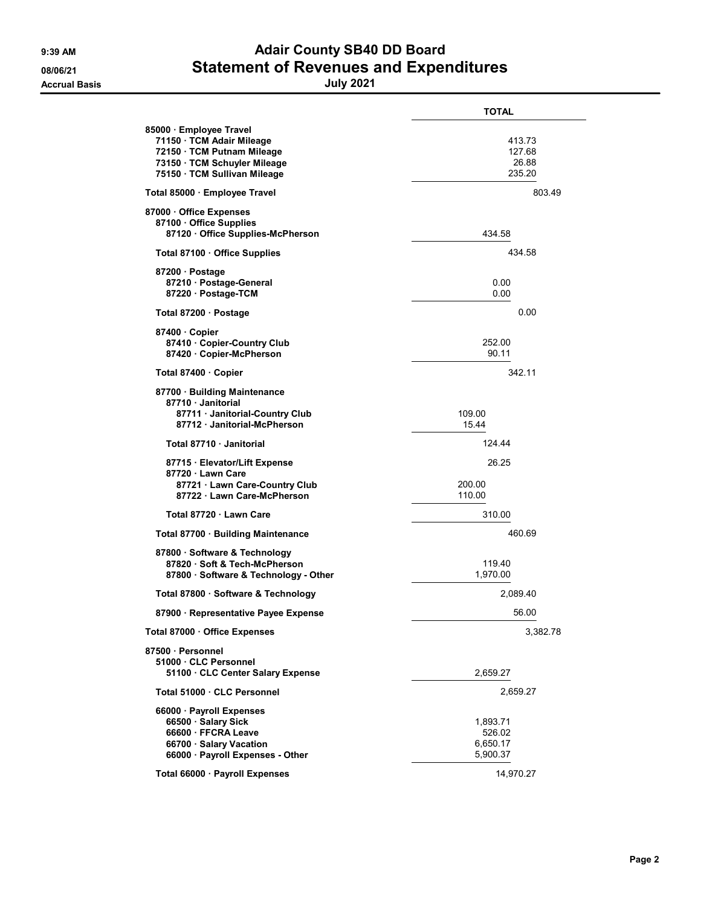## 9:39 AM **Adair County SB40 DD Board** 08/06/21 Statement of Revenues and Expenditures

|                                                                                                                                                  | TOTAL                                      |
|--------------------------------------------------------------------------------------------------------------------------------------------------|--------------------------------------------|
| 85000 Employee Travel<br>71150 · TCM Adair Mileage<br>72150 · TCM Putnam Mileage<br>73150 · TCM Schuyler Mileage<br>75150 · TCM Sullivan Mileage | 413.73<br>127.68<br>26.88<br>235.20        |
| Total 85000 · Employee Travel                                                                                                                    | 803 49                                     |
| 87000 Office Expenses<br>87100 · Office Supplies<br>87120 Office Supplies-McPherson                                                              | 434.58                                     |
| Total 87100 · Office Supplies                                                                                                                    | 434.58                                     |
| 87200 · Postage<br>87210 Postage-General<br>87220 · Postage-TCM                                                                                  | 0.00<br>0.00                               |
| Total 87200 · Postage                                                                                                                            | 0.00                                       |
| 87400 Copier<br>87410 Copier-Country Club<br>87420 · Copier-McPherson                                                                            | 252.00<br>90.11                            |
| Total 87400 · Copier                                                                                                                             | 342.11                                     |
| 87700 · Building Maintenance<br>87710 Janitorial<br>87711 · Janitorial-Country Club<br>87712 Janitorial-McPherson                                | 109.00<br>15.44                            |
| Total 87710 Janitorial                                                                                                                           | 124.44                                     |
| 87715 · Elevator/Lift Expense<br>87720 Lawn Care<br>87721 Lawn Care-Country Club<br>87722 Lawn Care-McPherson                                    | 26.25<br>200.00<br>110.00                  |
| Total 87720 · Lawn Care                                                                                                                          | 310.00                                     |
| Total 87700 · Building Maintenance                                                                                                               | 460.69                                     |
| 87800 · Software & Technology<br>87820 · Soft & Tech-McPherson<br>87800 · Software & Technology - Other                                          | 119.40<br>1,970.00                         |
| Total 87800 · Software & Technology                                                                                                              | 2,089.40                                   |
| 87900 · Representative Payee Expense                                                                                                             | 56.00                                      |
| Total 87000 · Office Expenses                                                                                                                    | 3,382.78                                   |
| 87500 · Personnel<br>51000 · CLC Personnel<br>51100 CLC Center Salary Expense                                                                    | 2,659.27                                   |
| Total 51000 . CLC Personnel                                                                                                                      | 2,659.27                                   |
| 66000 · Payroll Expenses<br>66500 · Salary Sick<br>66600 FFCRA Leave<br>66700 · Salary Vacation<br>66000 · Payroll Expenses - Other              | 1,893.71<br>526.02<br>6,650.17<br>5,900.37 |
| Total 66000 · Payroll Expenses                                                                                                                   | 14,970.27                                  |